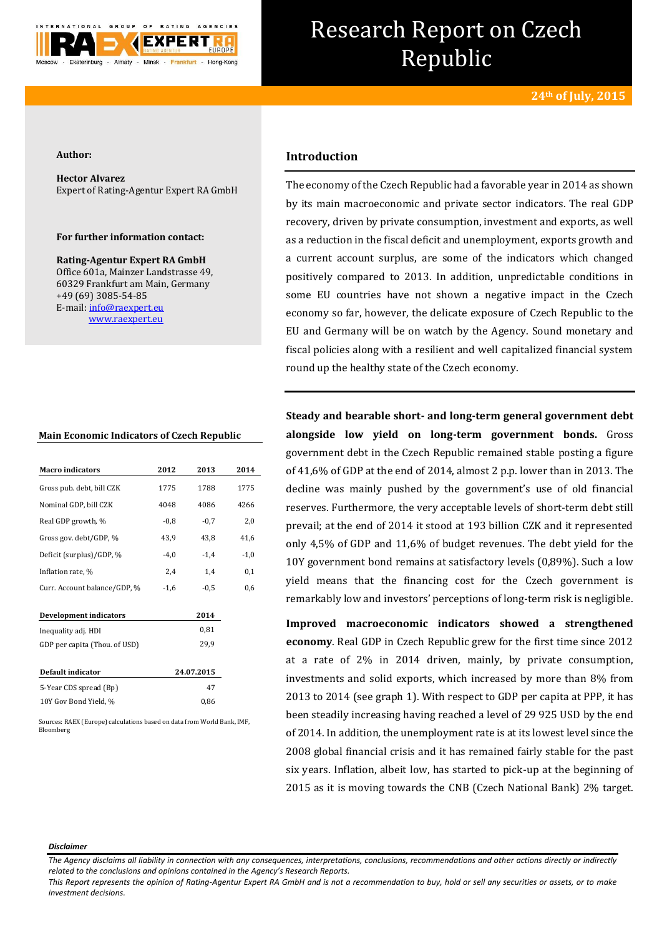

# Research Report on Czech Republic

#### **Author:**

**Hector Alvarez** Expert of Rating-Agentur Expert RA GmbH

## **For further information contact:**

**Rating-Agentur Expert RA GmbH** Office 601a, Mainzer Landstrasse 49, 60329 Frankfurt am Main, Germany +49 (69) 3085-54-85 E-mail[: info@raexpert.eu](mailto:info@raexpert.eu) [www.raexpert.eu](http://raexpert.eu/)

## **Main Economic Indicators of Czech Republic**

| <b>Macro</b> indicators       | 2012       | 2013   | 2014   |
|-------------------------------|------------|--------|--------|
| Gross pub. debt, bill CZK     | 1775       | 1788   | 1775   |
| Nominal GDP, bill CZK         | 4048       | 4086   | 4266   |
| Real GDP growth, %            | $-0.8$     | $-0.7$ | 2,0    |
| Gross gov. debt/GDP, %        | 43,9       | 43,8   | 41,6   |
| Deficit (surplus)/GDP, %      | $-4,0$     | $-1,4$ | $-1,0$ |
| Inflation rate, %             | 2,4        | 1,4    | 0,1    |
| Curr. Account balance/GDP, %  | $-1,6$     | $-0,5$ | 0,6    |
| <b>Development indicators</b> |            | 2014   |        |
| Inequality adj. HDI           |            | 0,81   |        |
| GDP per capita (Thou. of USD) |            | 29,9   |        |
| Default indicator             | 24.07.2015 |        |        |
| 5-Year CDS spread (Bp)        |            | 47     |        |
| 10Y Gov Bond Yield, %         |            | 0,86   |        |

Sources: RAEX (Europe) calculations based on data from World Bank, IMF, Bloomberg

## **Introduction**

The economy of the Czech Republic had a favorable year in 2014 as shown by its main macroeconomic and private sector indicators. The real GDP recovery, driven by private consumption, investment and exports, as well as a reduction in the fiscal deficit and unemployment, exports growth and a current account surplus, are some of the indicators which changed positively compared to 2013. In addition, unpredictable conditions in some EU countries have not shown a negative impact in the Czech economy so far, however, the delicate exposure of Czech Republic to the EU and Germany will be on watch by the Agency. Sound monetary and fiscal policies along with a resilient and well capitalized financial system round up the healthy state of the Czech economy.

**Steady and bearable short- and long-term general government debt alongside low yield on long-term government bonds.** Gross government debt in the Czech Republic remained stable posting a figure of 41,6% of GDP at the end of 2014, almost 2 p.p. lower than in 2013. The decline was mainly pushed by the government's use of old financial reserves. Furthermore, the very acceptable levels of short-term debt still prevail; at the end of 2014 it stood at 193 billion CZK and it represented only 4,5% of GDP and 11,6% of budget revenues. The debt yield for the 10Y government bond remains at satisfactory levels (0,89%). Such a low yield means that the financing cost for the Czech government is remarkably low and investors' perceptions of long-term risk is negligible.

**Improved macroeconomic indicators showed a strengthened economy**. Real GDP in Czech Republic grew for the first time since 2012 at a rate of 2% in 2014 driven, mainly, by private consumption, investments and solid exports, which increased by more than 8% from 2013 to 2014 (see graph 1). With respect to GDP per capita at PPP, it has been steadily increasing having reached a level of 29 925 USD by the end of 2014. In addition, the unemployment rate is at its lowest level since the 2008 global financial crisis and it has remained fairly stable for the past six years. Inflation, albeit low, has started to pick-up at the beginning of 2015 as it is moving towards the CNB (Czech National Bank) 2% target.

#### *Disclaimer*

*The Agency disclaims all liability in connection with any consequences, interpretations, conclusions, recommendations and other actions directly or indirectly related to the conclusions and opinions contained in the Agency's Research Reports.*

*This Report represents the opinion of Rating-Agentur Expert RA GmbH and is not a recommendation to buy, hold or sell any securities or assets, or to make investment decisions.*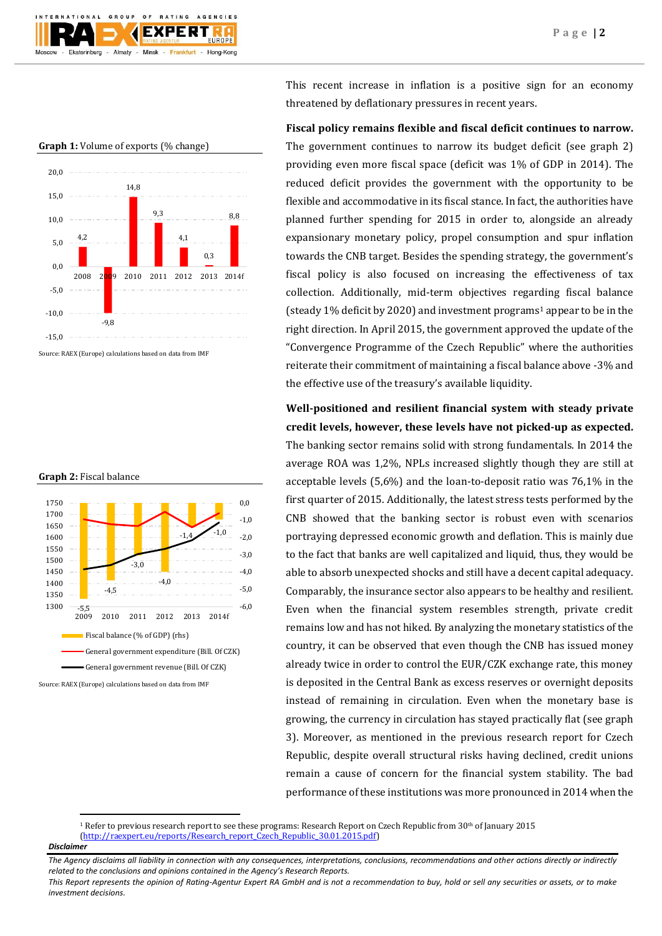



#### **Graph 1:** Volume of exports (% change)

Source: RAEX (Europe) calculations based on data from IMF





Source: RAEX (Europe) calculations based on data from IMF

This recent increase in inflation is a positive sign for an economy threatened by deflationary pressures in recent years.

# **Fiscal policy remains flexible and fiscal deficit continues to narrow.**

The government continues to narrow its budget deficit (see graph 2) providing even more fiscal space (deficit was 1% of GDP in 2014). The reduced deficit provides the government with the opportunity to be flexible and accommodative in its fiscal stance. In fact, the authorities have planned further spending for 2015 in order to, alongside an already expansionary monetary policy, propel consumption and spur inflation towards the CNB target. Besides the spending strategy, the government's fiscal policy is also focused on increasing the effectiveness of tax collection. Additionally, mid-term objectives regarding fiscal balance (steady 1% deficit by 2020) and investment programs<sup>1</sup> appear to be in the right direction. In April 2015, the government approved the update of the "Convergence Programme of the Czech Republic" where the authorities reiterate their commitment of maintaining a fiscal balance above -3% and the effective use of the treasury's available liquidity.

**Well-positioned and resilient financial system with steady private credit levels, however, these levels have not picked-up as expected.** The banking sector remains solid with strong fundamentals. In 2014 the average ROA was 1,2%, NPLs increased slightly though they are still at acceptable levels (5,6%) and the loan-to-deposit ratio was 76,1% in the first quarter of 2015. Additionally, the latest stress tests performed by the CNB showed that the banking sector is robust even with scenarios portraying depressed economic growth and deflation. This is mainly due to the fact that banks are well capitalized and liquid, thus, they would be able to absorb unexpected shocks and still have a decent capital adequacy. Comparably, the insurance sector also appears to be healthy and resilient. Even when the financial system resembles strength, private credit remains low and has not hiked. By analyzing the monetary statistics of the country, it can be observed that even though the CNB has issued money already twice in order to control the EUR/CZK exchange rate, this money is deposited in the Central Bank as excess reserves or overnight deposits instead of remaining in circulation. Even when the monetary base is growing, the currency in circulation has stayed practically flat (see graph 3). Moreover, as mentioned in the previous research report for Czech Republic, despite overall structural risks having declined, credit unions remain a cause of concern for the financial system stability. The bad performance of these institutions was more pronounced in 2014 when the

<sup>1</sup> Refer to previous research report to see these programs: Research Report on Czech Republic from  $30<sup>th</sup>$  of January 2015 [\(http://raexpert.eu/reports/Research\\_report\\_Czech\\_Republic\\_30.01.2015.pdf\)](http://raexpert.eu/reports/Research_report_Czech_Republic_30.01.2015.pdf)

*Disclaimer* 

**.** 

*The Agency disclaims all liability in connection with any consequences, interpretations, conclusions, recommendations and other actions directly or indirectly related to the conclusions and opinions contained in the Agency's Research Reports.*

*This Report represents the opinion of Rating-Agentur Expert RA GmbH and is not a recommendation to buy, hold or sell any securities or assets, or to make investment decisions.*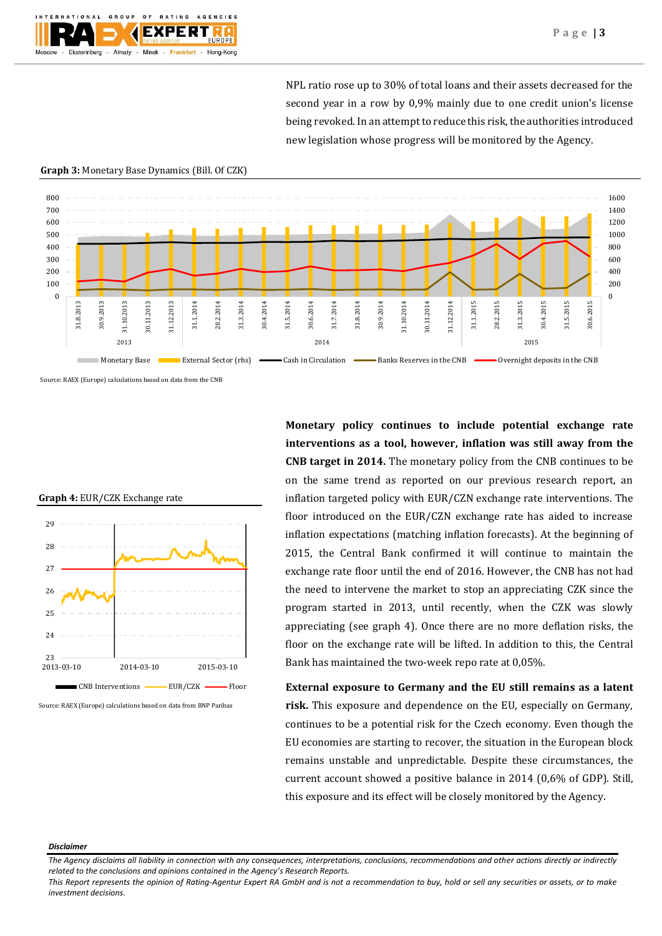NPL ratio rose up to 30% of total loans and their assets decreased for the second year in a row by 0,9% mainly due to one credit union's license being revoked. In an attempt to reduce this risk, the authorities introduced new legislation whose progress will be monitored by the Agency.

#### **Graph 3:** Monetary Base Dynamics (Bill. Of CZK)



Source: RAEX (Europe) calculations based on data from the CNB





Source: RAEX (Europe) calculations based on data from BNP Paribas

**Monetary policy continues to include potential exchange rate interventions as a tool, however, inflation was still away from the CNB target in 2014.** The monetary policy from the CNB continues to be on the same trend as reported on our previous research report, an inflation targeted policy with EUR/CZN exchange rate interventions. The floor introduced on the EUR/CZN exchange rate has aided to increase inflation expectations (matching inflation forecasts). At the beginning of 2015, the Central Bank confirmed it will continue to maintain the exchange rate floor until the end of 2016. However, the CNB has not had the need to intervene the market to stop an appreciating CZK since the program started in 2013, until recently, when the CZK was slowly appreciating (see graph 4). Once there are no more deflation risks, the floor on the exchange rate will be lifted. In addition to this, the Central Bank has maintained the two-week repo rate at 0,05%.

**External exposure to Germany and the EU still remains as a latent risk.** This exposure and dependence on the EU, especially on Germany, continues to be a potential risk for the Czech economy. Even though the EU economies are starting to recover, the situation in the European block remains unstable and unpredictable. Despite these circumstances, the current account showed a positive balance in 2014 (0,6% of GDP). Still, this exposure and its effect will be closely monitored by the Agency.

#### *Disclaimer*

*This Report represents the opinion of Rating-Agentur Expert RA GmbH and is not a recommendation to buy, hold or sell any securities or assets, or to make investment decisions.*

*The Agency disclaims all liability in connection with any consequences, interpretations, conclusions, recommendations and other actions directly or indirectly related to the conclusions and opinions contained in the Agency's Research Reports.*